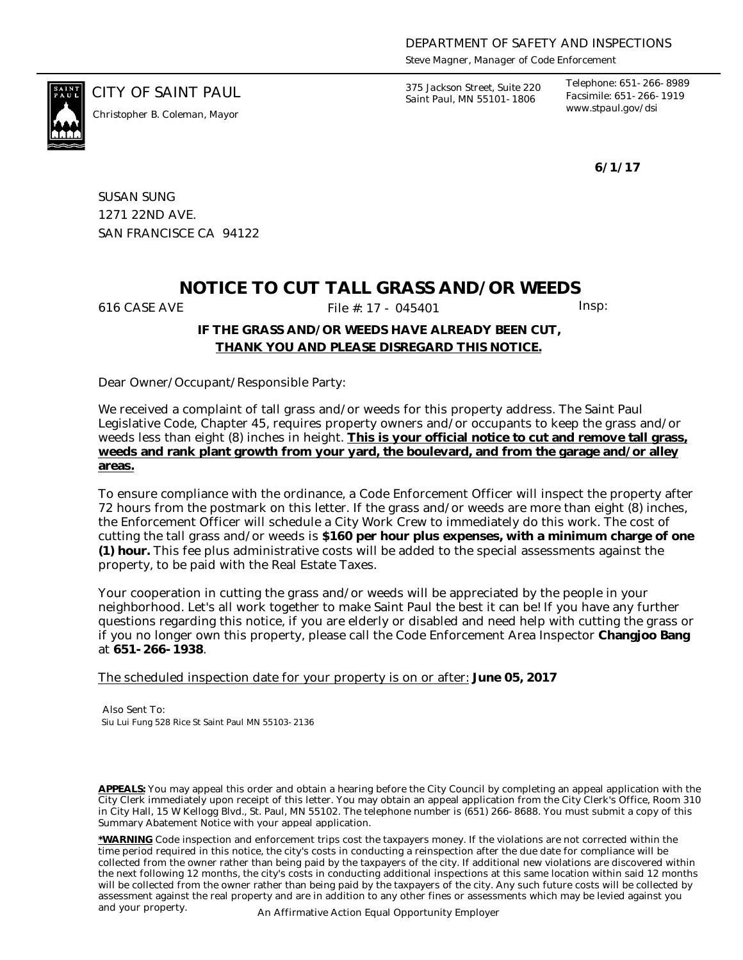*Steve Magner, Manager of Code Enforcement*

*www.stpaul.gov/dsi Christopher B. Coleman, Mayor*

CITY OF SAINT PAUL *375 Jackson Street, Suite 220 Saint Paul, MN 55101-1806*

*Telephone: 651-266-8989 Facsimile: 651-266-1919*

**6/1/17**

SUSAN SUNG 1271 22ND AVE. SAN FRANCISCE CA 94122

# **NOTICE TO CUT TALL GRASS AND/OR WEEDS**

616 CASE AVE **File #: 17 - 045401** Insp:

## **IF THE GRASS AND/OR WEEDS HAVE ALREADY BEEN CUT, THANK YOU AND PLEASE DISREGARD THIS NOTICE.**

Dear Owner/Occupant/Responsible Party:

We received a complaint of tall grass and/or weeds for this property address. The Saint Paul Legislative Code, Chapter 45, requires property owners and/or occupants to keep the grass and/or weeds less than eight (8) inches in height. **This is your official notice to cut and remove tall grass, weeds and rank plant growth from your yard, the boulevard, and from the garage and/or alley areas.**

To ensure compliance with the ordinance, a Code Enforcement Officer will inspect the property after 72 hours from the postmark on this letter. If the grass and/or weeds are more than eight (8) inches, the Enforcement Officer will schedule a City Work Crew to immediately do this work. The cost of cutting the tall grass and/or weeds is **\$160 per hour plus expenses, with a minimum charge of one (1) hour.** This fee plus administrative costs will be added to the special assessments against the property, to be paid with the Real Estate Taxes.

Your cooperation in cutting the grass and/or weeds will be appreciated by the people in your neighborhood. Let's all work together to make Saint Paul the best it can be! If you have any further questions regarding this notice, if you are elderly or disabled and need help with cutting the grass or if you no longer own this property, please call the Code Enforcement Area Inspector **Changjoo Bang** at **651-266-1938**.

The scheduled inspection date for your property is on or after: **June 05, 2017**

Also Sent To: Siu Lui Fung 528 Rice St Saint Paul MN 55103-2136

**APPEALS:** You may appeal this order and obtain a hearing before the City Council by completing an appeal application with the City Clerk immediately upon receipt of this letter. You may obtain an appeal application from the City Clerk's Office, Room 310 in City Hall, 15 W Kellogg Blvd., St. Paul, MN 55102. The telephone number is (651) 266-8688. You must submit a copy of this Summary Abatement Notice with your appeal application.

**\*WARNING** Code inspection and enforcement trips cost the taxpayers money. If the violations are not corrected within the time period required in this notice, the city's costs in conducting a reinspection after the due date for compliance will be collected from the owner rather than being paid by the taxpayers of the city. If additional new violations are discovered within the next following 12 months, the city's costs in conducting additional inspections at this same location within said 12 months will be collected from the owner rather than being paid by the taxpayers of the city. Any such future costs will be collected by assessment against the real property and are in addition to any other fines or assessments which may be levied against you and your property. An Affirmative Action Equal Opportunity Employer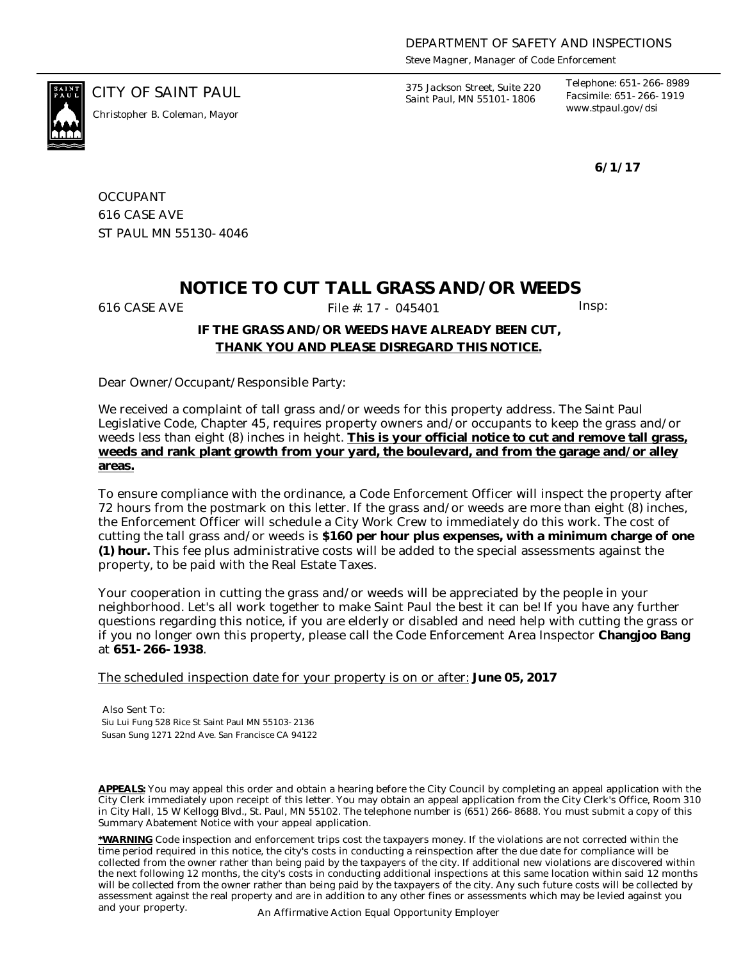*Steve Magner, Manager of Code Enforcement*

*www.stpaul.gov/dsi Christopher B. Coleman, Mayor*

CITY OF SAINT PAUL *375 Jackson Street, Suite 220 Saint Paul, MN 55101-1806*

*Telephone: 651-266-8989 Facsimile: 651-266-1919*

**6/1/17**

**OCCUPANT** 616 CASE AVE ST PAUL MN 55130-4046

# **NOTICE TO CUT TALL GRASS AND/OR WEEDS**

616 CASE AVE **File #: 17 - 045401** Insp:

## **IF THE GRASS AND/OR WEEDS HAVE ALREADY BEEN CUT, THANK YOU AND PLEASE DISREGARD THIS NOTICE.**

Dear Owner/Occupant/Responsible Party:

We received a complaint of tall grass and/or weeds for this property address. The Saint Paul Legislative Code, Chapter 45, requires property owners and/or occupants to keep the grass and/or weeds less than eight (8) inches in height. **This is your official notice to cut and remove tall grass, weeds and rank plant growth from your yard, the boulevard, and from the garage and/or alley areas.**

To ensure compliance with the ordinance, a Code Enforcement Officer will inspect the property after 72 hours from the postmark on this letter. If the grass and/or weeds are more than eight (8) inches, the Enforcement Officer will schedule a City Work Crew to immediately do this work. The cost of cutting the tall grass and/or weeds is **\$160 per hour plus expenses, with a minimum charge of one (1) hour.** This fee plus administrative costs will be added to the special assessments against the property, to be paid with the Real Estate Taxes.

Your cooperation in cutting the grass and/or weeds will be appreciated by the people in your neighborhood. Let's all work together to make Saint Paul the best it can be! If you have any further questions regarding this notice, if you are elderly or disabled and need help with cutting the grass or if you no longer own this property, please call the Code Enforcement Area Inspector **Changjoo Bang** at **651-266-1938**.

The scheduled inspection date for your property is on or after: **June 05, 2017**

Also Sent To: Siu Lui Fung 528 Rice St Saint Paul MN 55103-2136 Susan Sung 1271 22nd Ave. San Francisce CA 94122

**APPEALS:** You may appeal this order and obtain a hearing before the City Council by completing an appeal application with the City Clerk immediately upon receipt of this letter. You may obtain an appeal application from the City Clerk's Office, Room 310 in City Hall, 15 W Kellogg Blvd., St. Paul, MN 55102. The telephone number is (651) 266-8688. You must submit a copy of this Summary Abatement Notice with your appeal application.

**\*WARNING** Code inspection and enforcement trips cost the taxpayers money. If the violations are not corrected within the time period required in this notice, the city's costs in conducting a reinspection after the due date for compliance will be collected from the owner rather than being paid by the taxpayers of the city. If additional new violations are discovered within the next following 12 months, the city's costs in conducting additional inspections at this same location within said 12 months will be collected from the owner rather than being paid by the taxpayers of the city. Any such future costs will be collected by assessment against the real property and are in addition to any other fines or assessments which may be levied against you and your property. An Affirmative Action Equal Opportunity Employer